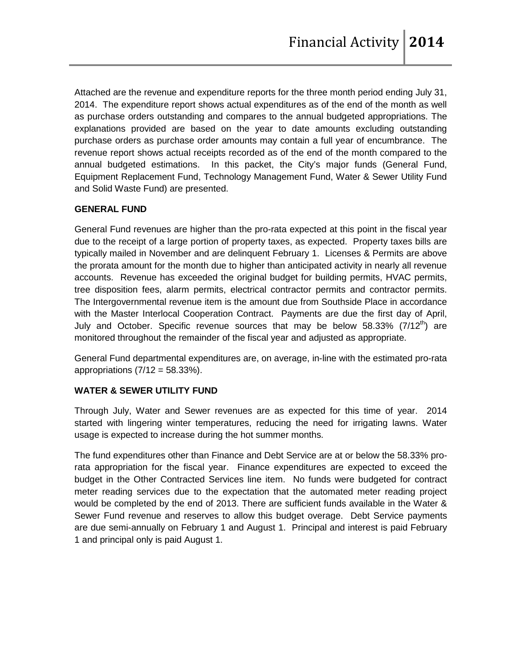Attached are the revenue and expenditure reports for the three month period ending July 31, 2014. The expenditure report shows actual expenditures as of the end of the month as well as purchase orders outstanding and compares to the annual budgeted appropriations. The explanations provided are based on the year to date amounts excluding outstanding purchase orders as purchase order amounts may contain a full year of encumbrance. The revenue report shows actual receipts recorded as of the end of the month compared to the annual budgeted estimations. In this packet, the City's major funds (General Fund, Equipment Replacement Fund, Technology Management Fund, Water & Sewer Utility Fund and Solid Waste Fund) are presented.

### **GENERAL FUND**

General Fund revenues are higher than the pro-rata expected at this point in the fiscal year due to the receipt of a large portion of property taxes, as expected. Property taxes bills are typically mailed in November and are delinquent February 1. Licenses & Permits are above the prorata amount for the month due to higher than anticipated activity in nearly all revenue accounts. Revenue has exceeded the original budget for building permits, HVAC permits, tree disposition fees, alarm permits, electrical contractor permits and contractor permits. The Intergovernmental revenue item is the amount due from Southside Place in accordance with the Master Interlocal Cooperation Contract. Payments are due the first day of April, July and October. Specific revenue sources that may be below 58.33% (7/12<sup>th</sup>) are monitored throughout the remainder of the fiscal year and adjusted as appropriate.

General Fund departmental expenditures are, on average, in-line with the estimated pro-rata appropriations  $(7/12 = 58.33\%)$ .

### **WATER & SEWER UTILITY FUND**

Through July, Water and Sewer revenues are as expected for this time of year. 2014 started with lingering winter temperatures, reducing the need for irrigating lawns. Water usage is expected to increase during the hot summer months.

The fund expenditures other than Finance and Debt Service are at or below the 58.33% prorata appropriation for the fiscal year. Finance expenditures are expected to exceed the budget in the Other Contracted Services line item. No funds were budgeted for contract meter reading services due to the expectation that the automated meter reading project would be completed by the end of 2013. There are sufficient funds available in the Water & Sewer Fund revenue and reserves to allow this budget overage. Debt Service payments are due semi-annually on February 1 and August 1. Principal and interest is paid February 1 and principal only is paid August 1.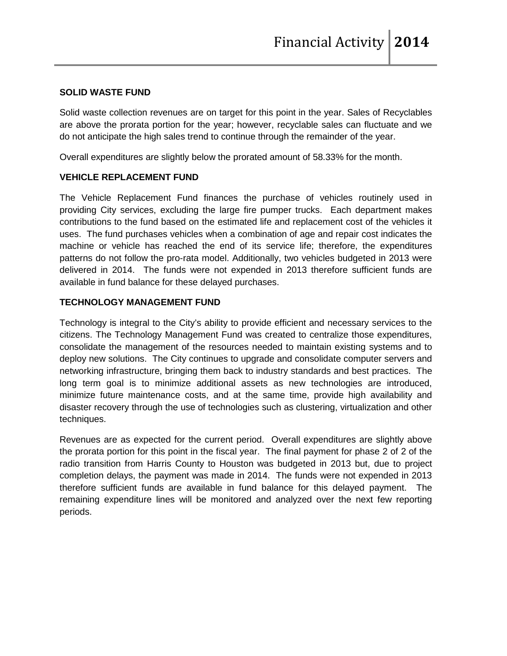#### **SOLID WASTE FUND**

Solid waste collection revenues are on target for this point in the year. Sales of Recyclables are above the prorata portion for the year; however, recyclable sales can fluctuate and we do not anticipate the high sales trend to continue through the remainder of the year.

Overall expenditures are slightly below the prorated amount of 58.33% for the month.

#### **VEHICLE REPLACEMENT FUND**

The Vehicle Replacement Fund finances the purchase of vehicles routinely used in providing City services, excluding the large fire pumper trucks. Each department makes contributions to the fund based on the estimated life and replacement cost of the vehicles it uses. The fund purchases vehicles when a combination of age and repair cost indicates the machine or vehicle has reached the end of its service life; therefore, the expenditures patterns do not follow the pro-rata model. Additionally, two vehicles budgeted in 2013 were delivered in 2014. The funds were not expended in 2013 therefore sufficient funds are available in fund balance for these delayed purchases.

#### **TECHNOLOGY MANAGEMENT FUND**

Technology is integral to the City's ability to provide efficient and necessary services to the citizens. The Technology Management Fund was created to centralize those expenditures, consolidate the management of the resources needed to maintain existing systems and to deploy new solutions. The City continues to upgrade and consolidate computer servers and networking infrastructure, bringing them back to industry standards and best practices. The long term goal is to minimize additional assets as new technologies are introduced, minimize future maintenance costs, and at the same time, provide high availability and disaster recovery through the use of technologies such as clustering, virtualization and other techniques.

Revenues are as expected for the current period. Overall expenditures are slightly above the prorata portion for this point in the fiscal year. The final payment for phase 2 of 2 of the radio transition from Harris County to Houston was budgeted in 2013 but, due to project completion delays, the payment was made in 2014. The funds were not expended in 2013 therefore sufficient funds are available in fund balance for this delayed payment. The remaining expenditure lines will be monitored and analyzed over the next few reporting periods.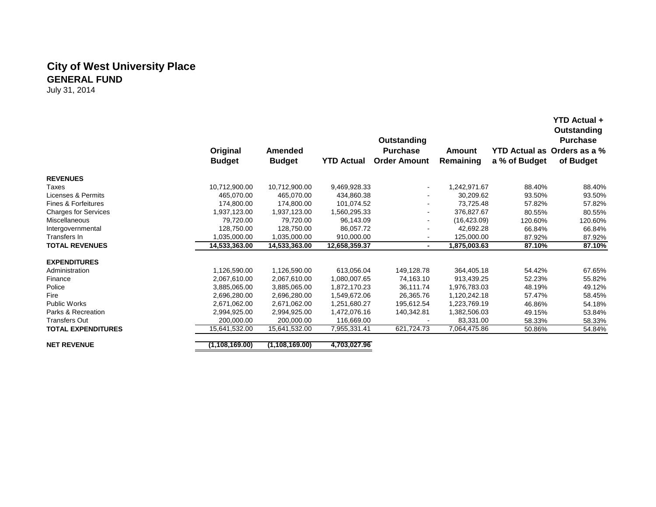# **City of West University Place GENERAL FUND**

|                             | Original<br><b>Budget</b> | <b>Amended</b><br><b>Budget</b> | <b>YTD Actual</b> | Outstanding<br><b>Purchase</b><br><b>Order Amount</b> | <b>Amount</b><br>Remaining | a % of Budget | <b>YTD Actual +</b><br><b>Outstanding</b><br><b>Purchase</b><br><b>YTD Actual as Orders as a %</b><br>of Budget |
|-----------------------------|---------------------------|---------------------------------|-------------------|-------------------------------------------------------|----------------------------|---------------|-----------------------------------------------------------------------------------------------------------------|
| <b>REVENUES</b>             |                           |                                 |                   |                                                       |                            |               |                                                                                                                 |
| Taxes                       | 10,712,900.00             | 10,712,900.00                   | 9,469,928.33      |                                                       | 1,242,971.67               | 88.40%        | 88.40%                                                                                                          |
| Licenses & Permits          | 465,070.00                | 465,070.00                      | 434,860.38        |                                                       | 30,209.62                  | 93.50%        | 93.50%                                                                                                          |
| Fines & Forfeitures         | 174,800.00                | 174,800.00                      | 101,074.52        | $\sim$                                                | 73,725.48                  | 57.82%        | 57.82%                                                                                                          |
| <b>Charges for Services</b> | 1,937,123.00              | 1,937,123.00                    | 1,560,295.33      | $\sim$                                                | 376.827.67                 | 80.55%        | 80.55%                                                                                                          |
| <b>Miscellaneous</b>        | 79,720.00                 | 79,720.00                       | 96,143.09         |                                                       | (16, 423.09)               | 120.60%       | 120.60%                                                                                                         |
| Intergovernmental           | 128,750.00                | 128,750.00                      | 86,057.72         |                                                       | 42.692.28                  | 66.84%        | 66.84%                                                                                                          |
| Transfers In                | 1,035,000.00              | 1,035,000.00                    | 910,000.00        | $\sim$                                                | 125,000.00                 | 87.92%        | 87.92%                                                                                                          |
| <b>TOTAL REVENUES</b>       | 14,533,363.00             | 14,533,363.00                   | 12,658,359.37     | ٠                                                     | 1,875,003.63               | 87.10%        | 87.10%                                                                                                          |
| <b>EXPENDITURES</b>         |                           |                                 |                   |                                                       |                            |               |                                                                                                                 |
| Administration              | 1,126,590.00              | 1,126,590.00                    | 613,056.04        | 149,128.78                                            | 364,405.18                 | 54.42%        | 67.65%                                                                                                          |
| Finance                     | 2,067,610.00              | 2,067,610.00                    | 1,080,007.65      | 74,163.10                                             | 913,439.25                 | 52.23%        | 55.82%                                                                                                          |
| Police                      | 3,885,065.00              | 3,885,065.00                    | 1,872,170.23      | 36,111.74                                             | 1,976,783.03               | 48.19%        | 49.12%                                                                                                          |
| Fire                        | 2,696,280.00              | 2,696,280.00                    | 1,549,672.06      | 26,365.76                                             | 1,120,242.18               | 57.47%        | 58.45%                                                                                                          |
| <b>Public Works</b>         | 2,671,062.00              | 2,671,062.00                    | 1,251,680.27      | 195,612.54                                            | 1,223,769.19               | 46.86%        | 54.18%                                                                                                          |
| Parks & Recreation          | 2,994,925.00              | 2,994,925.00                    | 1,472,076.16      | 140,342.81                                            | 1,382,506.03               | 49.15%        | 53.84%                                                                                                          |
| <b>Transfers Out</b>        | 200,000.00                | 200.000.00                      | 116,669.00        |                                                       | 83,331.00                  | 58.33%        | 58.33%                                                                                                          |
| <b>TOTAL EXPENDITURES</b>   | 15,641,532.00             | 15,641,532.00                   | 7,955,331.41      | 621,724.73                                            | 7,064,475.86               | 50.86%        | 54.84%                                                                                                          |
| <b>NET REVENUE</b>          | (1, 108, 169.00)          | (1, 108, 169.00)                | 4,703,027.96      |                                                       |                            |               |                                                                                                                 |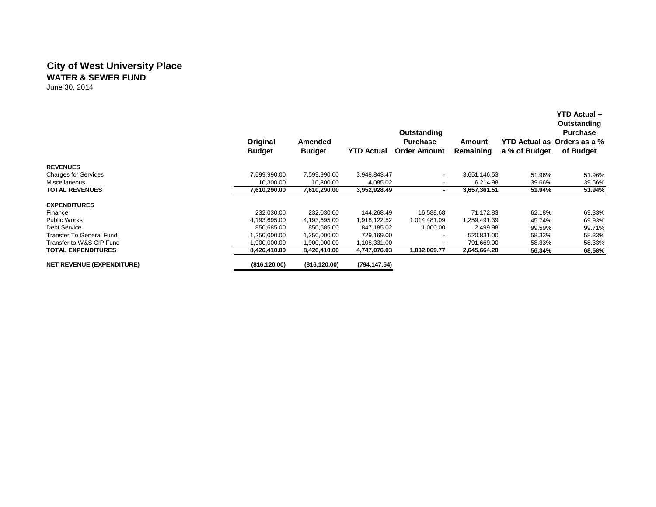### **City of West University Place WATER & SEWER FUND**

June 30, 2014

|                                  | Original<br><b>Budget</b> | Amended<br><b>Budget</b> | <b>YTD Actual</b> | Outstanding<br><b>Purchase</b><br><b>Order Amount</b> | Amount<br>Remaining | a % of Budget | <b>YTD Actual +</b><br>Outstanding<br><b>Purchase</b><br>YTD Actual as Orders as a %<br>of Budget |
|----------------------------------|---------------------------|--------------------------|-------------------|-------------------------------------------------------|---------------------|---------------|---------------------------------------------------------------------------------------------------|
| <b>REVENUES</b>                  |                           |                          |                   |                                                       |                     |               |                                                                                                   |
| <b>Charges for Services</b>      | 7,599,990.00              | 7,599,990.00             | 3,948,843.47      | $\overline{\phantom{a}}$                              | 3,651,146.53        | 51.96%        | 51.96%                                                                                            |
| Miscellaneous                    | 10,300.00                 | 10,300.00                | 4,085.02          |                                                       | 6,214.98            | 39.66%        | 39.66%                                                                                            |
| <b>TOTAL REVENUES</b>            | 7,610,290.00              | 7,610,290.00             | 3,952,928.49      | ٠                                                     | 3,657,361.51        | 51.94%        | 51.94%                                                                                            |
| <b>EXPENDITURES</b>              |                           |                          |                   |                                                       |                     |               |                                                                                                   |
| Finance                          | 232,030.00                | 232,030.00               | 144,268.49        | 16,588.68                                             | 71,172.83           | 62.18%        | 69.33%                                                                                            |
| Public Works                     | 4,193,695.00              | 4,193,695.00             | 1,918,122.52      | 1,014,481.09                                          | 1,259,491.39        | 45.74%        | 69.93%                                                                                            |
| Debt Service                     | 850,685.00                | 850,685.00               | 847,185.02        | 1,000.00                                              | 2,499.98            | 99.59%        | 99.71%                                                                                            |
| Transfer To General Fund         | 1,250,000.00              | 1,250,000.00             | 729,169.00        |                                                       | 520,831.00          | 58.33%        | 58.33%                                                                                            |
| Transfer to W&S CIP Fund         | 900.000.00.               | 1,900,000.00             | 1,108,331.00      |                                                       | 791.669.00          | 58.33%        | 58.33%                                                                                            |
| <b>TOTAL EXPENDITURES</b>        | 8,426,410.00              | 8,426,410.00             | 4,747,076.03      | 1,032,069.77                                          | 2,645,664.20        | 56.34%        | 68.58%                                                                                            |
| <b>NET REVENUE (EXPENDITURE)</b> | (816, 120.00)             | (816, 120.00)            | (794, 147.54)     |                                                       |                     |               |                                                                                                   |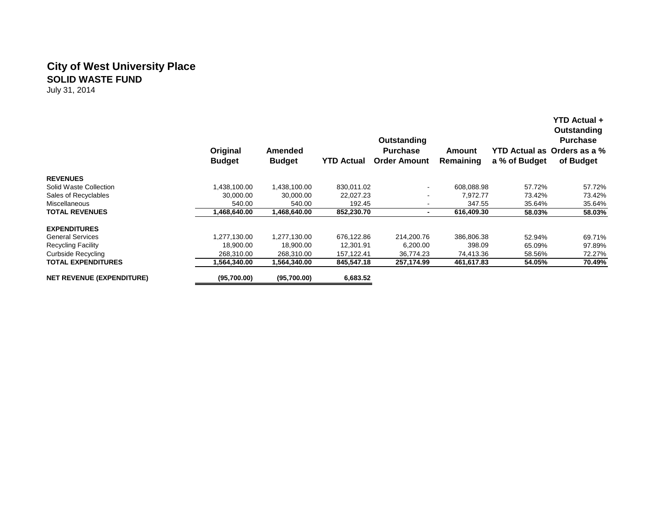# **City of West University Place SOLID WASTE FUND**

|                                  | Original<br><b>Budget</b> | Amended<br><b>Budget</b> | <b>YTD Actual</b> | Outstanding<br><b>Purchase</b><br><b>Order Amount</b> | Amount<br>Remaining | a % of Budget | <b>YTD Actual +</b><br>Outstanding<br><b>Purchase</b><br>YTD Actual as Orders as a %<br>of Budget |
|----------------------------------|---------------------------|--------------------------|-------------------|-------------------------------------------------------|---------------------|---------------|---------------------------------------------------------------------------------------------------|
| <b>REVENUES</b>                  |                           |                          |                   |                                                       |                     |               |                                                                                                   |
| Solid Waste Collection           | 1,438,100.00              | 1,438,100.00             | 830.011.02        | $\sim$                                                | 608,088.98          | 57.72%        | 57.72%                                                                                            |
| Sales of Recyclables             | 30.000.00                 | 30,000.00                | 22,027.23         |                                                       | 7,972.77            | 73.42%        | 73.42%                                                                                            |
| Miscellaneous                    | 540.00                    | 540.00                   | 192.45            |                                                       | 347.55              | 35.64%        | 35.64%                                                                                            |
| <b>TOTAL REVENUES</b>            | 1,468,640.00              | 1,468,640.00             | 852,230.70        |                                                       | 616,409.30          | 58.03%        | 58.03%                                                                                            |
| <b>EXPENDITURES</b>              |                           |                          |                   |                                                       |                     |               |                                                                                                   |
| <b>General Services</b>          | 1,277,130.00              | .277,130.00              | 676,122.86        | 214.200.76                                            | 386.806.38          | 52.94%        | 69.71%                                                                                            |
| <b>Recycling Facility</b>        | 18,900.00                 | 18,900.00                | 12,301.91         | 6,200.00                                              | 398.09              | 65.09%        | 97.89%                                                                                            |
| Curbside Recycling               | 268,310.00                | 268,310.00               | 157,122.41        | 36,774.23                                             | 74,413.36           | 58.56%        | 72.27%                                                                                            |
| TOTAL EXPENDITURES               | .564.340.00               | 1,564,340.00             | 845,547.18        | 257,174.99                                            | 461,617.83          | 54.05%        | 70.49%                                                                                            |
| <b>NET REVENUE (EXPENDITURE)</b> | (95,700.00)               | (95,700.00)              | 6,683.52          |                                                       |                     |               |                                                                                                   |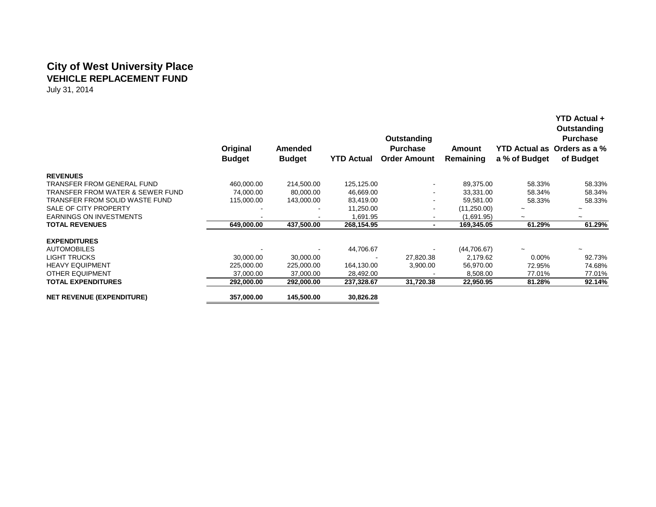## **City of West University Place VEHICLE REPLACEMENT FUND**

|                                  | Original<br><b>Budget</b> | Amended<br><b>Budget</b> | <b>YTD Actual</b> | Outstanding<br><b>Purchase</b><br><b>Order Amount</b> | Amount<br>Remaining | a % of Budget         | <b>YTD Actual +</b><br>Outstanding<br><b>Purchase</b><br>YTD Actual as Orders as a %<br>of Budget |
|----------------------------------|---------------------------|--------------------------|-------------------|-------------------------------------------------------|---------------------|-----------------------|---------------------------------------------------------------------------------------------------|
| <b>REVENUES</b>                  |                           |                          |                   |                                                       |                     |                       |                                                                                                   |
| TRANSFER FROM GENERAL FUND       | 460,000.00                | 214,500.00               | 125,125.00        | $\blacksquare$                                        | 89,375.00           | 58.33%                | 58.33%                                                                                            |
| TRANSFER FROM WATER & SEWER FUND | 74,000.00                 | 80,000.00                | 46,669.00         | $\blacksquare$                                        | 33,331.00           | 58.34%                | 58.34%                                                                                            |
| TRANSFER FROM SOLID WASTE FUND   | 115,000.00                | 143,000.00               | 83,419.00         | $\overline{\phantom{a}}$                              | 59,581.00           | 58.33%                | 58.33%                                                                                            |
| SALE OF CITY PROPERTY            |                           |                          | 11,250.00         | $\overline{\phantom{a}}$                              | (11,250.00)         |                       |                                                                                                   |
| <b>EARNINGS ON INVESTMENTS</b>   |                           |                          | 1,691.95          |                                                       | (1,691.95)          | $\tilde{\phantom{a}}$ |                                                                                                   |
| <b>TOTAL REVENUES</b>            | 649,000.00                | 437,500.00               | 268,154.95        | $\blacksquare$                                        | 169,345.05          | 61.29%                | 61.29%                                                                                            |
| <b>EXPENDITURES</b>              |                           |                          |                   |                                                       |                     |                       |                                                                                                   |
| <b>AUTOMOBILES</b>               |                           |                          | 44,706.67         |                                                       | (44,706.67)         |                       |                                                                                                   |
| <b>LIGHT TRUCKS</b>              | 30,000.00                 | 30,000.00                |                   | 27,820.38                                             | 2,179.62            | $0.00\%$              | 92.73%                                                                                            |
| <b>HEAVY EQUIPMENT</b>           | 225,000.00                | 225,000.00               | 164,130.00        | 3,900.00                                              | 56,970.00           | 72.95%                | 74.68%                                                                                            |
| OTHER EQUIPMENT                  | 37,000.00                 | 37,000.00                | 28,492.00         |                                                       | 8,508.00            | 77.01%                | 77.01%                                                                                            |
| <b>TOTAL EXPENDITURES</b>        | 292,000.00                | 292,000.00               | 237,328.67        | 31,720.38                                             | 22,950.95           | 81.28%                | 92.14%                                                                                            |
| <b>NET REVENUE (EXPENDITURE)</b> | 357,000.00                | 145,500.00               | 30,826.28         |                                                       |                     |                       |                                                                                                   |